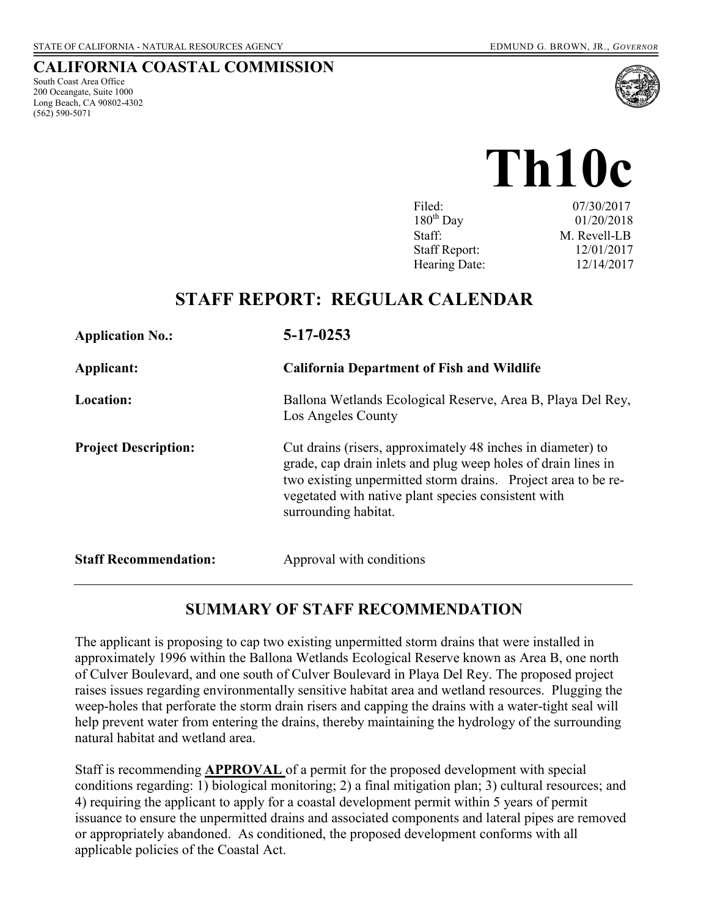#### **CALIFORNIA COASTAL COMMISSION**

South Coast Area Office 200 Oceangate, Suite 1000 Long Beach, CA 90802-4302 (562) 590-5071



# **Th10c**

| Filed:               | 07/30/2017   |
|----------------------|--------------|
| $180^{th}$ Day       | 01/20/2018   |
| Staff:               | M. Revell-LB |
| <b>Staff Report:</b> | 12/01/2017   |
| Hearing Date:        | 12/14/2017   |

# **STAFF REPORT: REGULAR CALENDAR**

| <b>Application No.:</b>      | $5 - 17 - 0253$                                                                                                                                                                                                                                                              |
|------------------------------|------------------------------------------------------------------------------------------------------------------------------------------------------------------------------------------------------------------------------------------------------------------------------|
| Applicant:                   | <b>California Department of Fish and Wildlife</b>                                                                                                                                                                                                                            |
| <b>Location:</b>             | Ballona Wetlands Ecological Reserve, Area B, Playa Del Rey,<br>Los Angeles County                                                                                                                                                                                            |
| <b>Project Description:</b>  | Cut drains (risers, approximately 48 inches in diameter) to<br>grade, cap drain inlets and plug weep holes of drain lines in<br>two existing unpermitted storm drains. Project area to be re-<br>vegetated with native plant species consistent with<br>surrounding habitat. |
| <b>Staff Recommendation:</b> | Approval with conditions                                                                                                                                                                                                                                                     |

#### **SUMMARY OF STAFF RECOMMENDATION**

The applicant is proposing to cap two existing unpermitted storm drains that were installed in approximately 1996 within the Ballona Wetlands Ecological Reserve known as Area B, one north of Culver Boulevard, and one south of Culver Boulevard in Playa Del Rey. The proposed project raises issues regarding environmentally sensitive habitat area and wetland resources. Plugging the weep-holes that perforate the storm drain risers and capping the drains with a water-tight seal will help prevent water from entering the drains, thereby maintaining the hydrology of the surrounding natural habitat and wetland area.

Staff is recommending **APPROVAL** of a permit for the proposed development with special conditions regarding: 1) biological monitoring; 2) a final mitigation plan; 3) cultural resources; and 4) requiring the applicant to apply for a coastal development permit within 5 years of permit issuance to ensure the unpermitted drains and associated components and lateral pipes are removed or appropriately abandoned. As conditioned, the proposed development conforms with all applicable policies of the Coastal Act.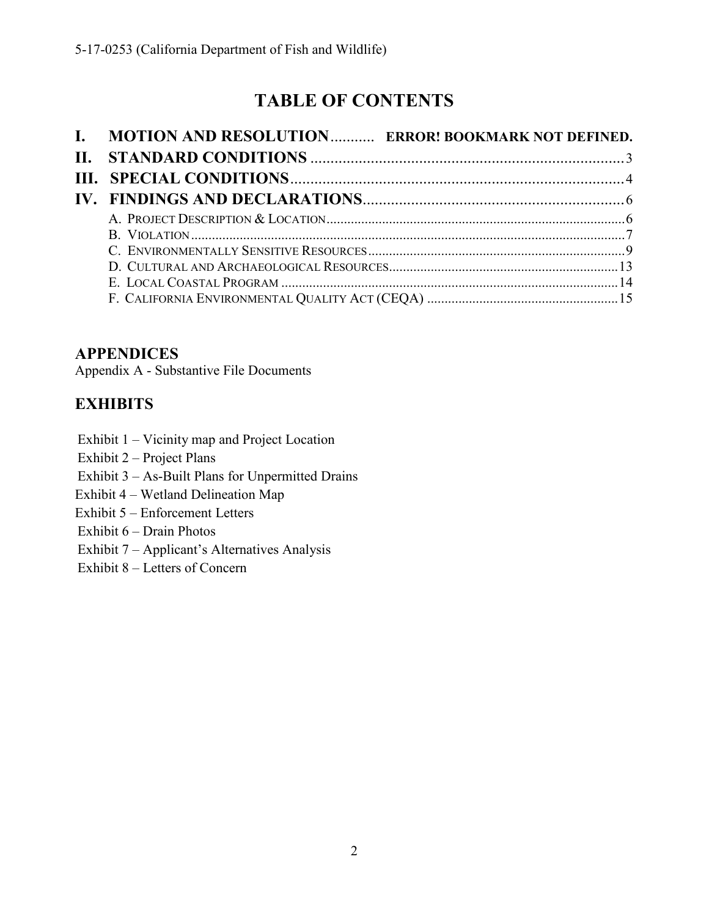# **TABLE OF CONTENTS**

| I. MOTION AND RESOLUTION ERROR! BOOKMARK NOT DEFINED. |  |
|-------------------------------------------------------|--|
|                                                       |  |
|                                                       |  |
|                                                       |  |
|                                                       |  |
|                                                       |  |
|                                                       |  |
|                                                       |  |
|                                                       |  |
|                                                       |  |

## **APPENDICES**

Appendix A - Substantive File Documents

## **EXHIBITS**

- Exhibit 1 Vicinity map and Project Location
- Exhibit 2 Project Plans
- Exhibit 3 As-Built Plans for Unpermitted Drains
- Exhibit 4 Wetland Delineation Map
- Exhibit 5 Enforcement Letters
- Exhibit 6 Drain Photos
- Exhibit 7 Applicant's Alternatives Analysis
- Exhibit 8 Letters of Concern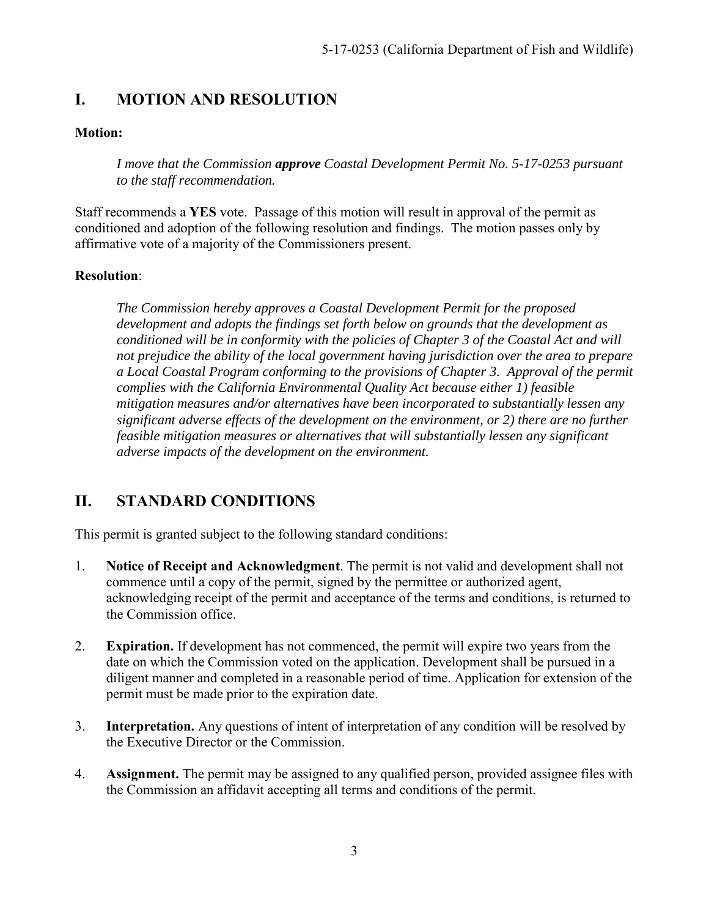## **I. MOTION AND RESOLUTION**

#### **Motion:**

*I move that the Commission approve Coastal Development Permit No. 5-17-0253 pursuant to the staff recommendation.* 

Staff recommends a **YES** vote. Passage of this motion will result in approval of the permit as conditioned and adoption of the following resolution and findings. The motion passes only by affirmative vote of a majority of the Commissioners present.

#### **Resolution**:

*The Commission hereby approves a Coastal Development Permit for the proposed development and adopts the findings set forth below on grounds that the development as conditioned will be in conformity with the policies of Chapter 3 of the Coastal Act and will not prejudice the ability of the local government having jurisdiction over the area to prepare a Local Coastal Program conforming to the provisions of Chapter 3. Approval of the permit complies with the California Environmental Quality Act because either 1) feasible mitigation measures and/or alternatives have been incorporated to substantially lessen any significant adverse effects of the development on the environment, or 2) there are no further feasible mitigation measures or alternatives that will substantially lessen any significant adverse impacts of the development on the environment.* 

## <span id="page-2-0"></span>**II. STANDARD CONDITIONS**

This permit is granted subject to the following standard conditions:

- 1. **Notice of Receipt and Acknowledgment**. The permit is not valid and development shall not commence until a copy of the permit, signed by the permittee or authorized agent, acknowledging receipt of the permit and acceptance of the terms and conditions, is returned to the Commission office.
- 2. **Expiration.** If development has not commenced, the permit will expire two years from the date on which the Commission voted on the application. Development shall be pursued in a diligent manner and completed in a reasonable period of time. Application for extension of the permit must be made prior to the expiration date.
- 3. **Interpretation.** Any questions of intent of interpretation of any condition will be resolved by the Executive Director or the Commission.
- 4. **Assignment.** The permit may be assigned to any qualified person, provided assignee files with the Commission an affidavit accepting all terms and conditions of the permit.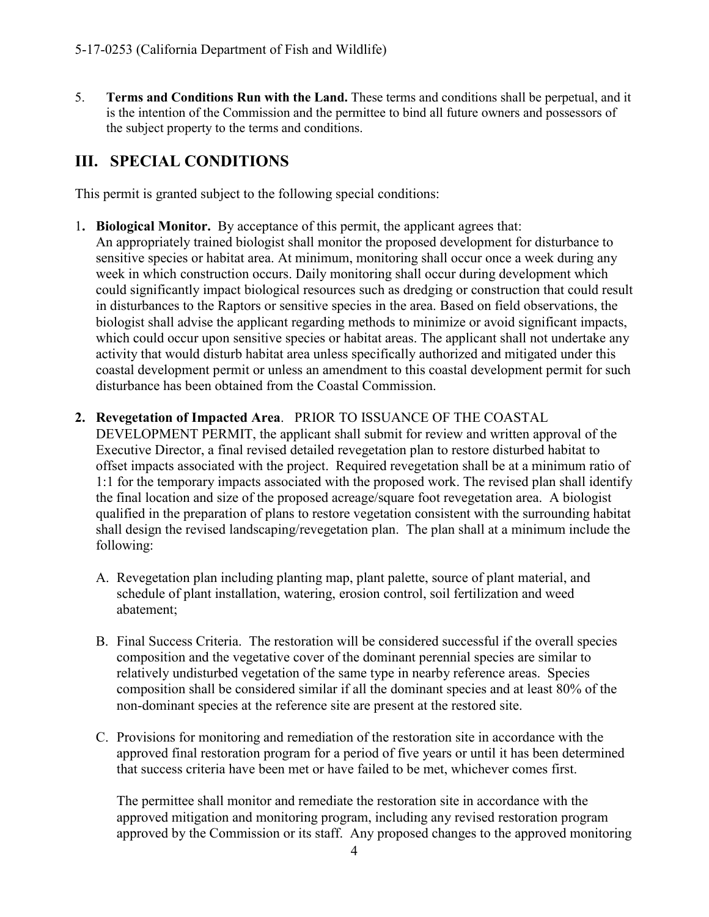5. **Terms and Conditions Run with the Land.** These terms and conditions shall be perpetual, and it is the intention of the Commission and the permittee to bind all future owners and possessors of the subject property to the terms and conditions.

## <span id="page-3-0"></span>**III. SPECIAL CONDITIONS**

This permit is granted subject to the following special conditions:

1**. Biological Monitor.** By acceptance of this permit, the applicant agrees that: An appropriately trained biologist shall monitor the proposed development for disturbance to sensitive species or habitat area. At minimum, monitoring shall occur once a week during any week in which construction occurs. Daily monitoring shall occur during development which could significantly impact biological resources such as dredging or construction that could result in disturbances to the Raptors or sensitive species in the area. Based on field observations, the biologist shall advise the applicant regarding methods to minimize or avoid significant impacts, which could occur upon sensitive species or habitat areas. The applicant shall not undertake any activity that would disturb habitat area unless specifically authorized and mitigated under this coastal development permit or unless an amendment to this coastal development permit for such disturbance has been obtained from the Coastal Commission.

#### **2. Revegetation of Impacted Area**. PRIOR TO ISSUANCE OF THE COASTAL

DEVELOPMENT PERMIT, the applicant shall submit for review and written approval of the Executive Director, a final revised detailed revegetation plan to restore disturbed habitat to offset impacts associated with the project. Required revegetation shall be at a minimum ratio of 1:1 for the temporary impacts associated with the proposed work. The revised plan shall identify the final location and size of the proposed acreage/square foot revegetation area. A biologist qualified in the preparation of plans to restore vegetation consistent with the surrounding habitat shall design the revised landscaping/revegetation plan. The plan shall at a minimum include the following:

- A. Revegetation plan including planting map, plant palette, source of plant material, and schedule of plant installation, watering, erosion control, soil fertilization and weed abatement;
- B. Final Success Criteria. The restoration will be considered successful if the overall species composition and the vegetative cover of the dominant perennial species are similar to relatively undisturbed vegetation of the same type in nearby reference areas. Species composition shall be considered similar if all the dominant species and at least 80% of the non-dominant species at the reference site are present at the restored site.
- C. Provisions for monitoring and remediation of the restoration site in accordance with the approved final restoration program for a period of five years or until it has been determined that success criteria have been met or have failed to be met, whichever comes first.

The permittee shall monitor and remediate the restoration site in accordance with the approved mitigation and monitoring program, including any revised restoration program approved by the Commission or its staff. Any proposed changes to the approved monitoring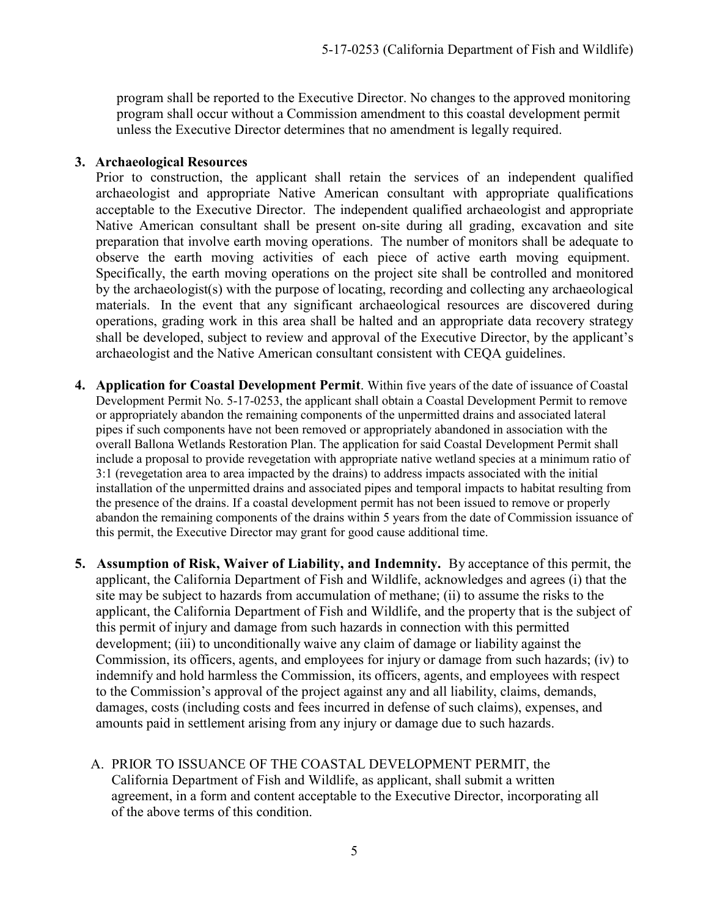program shall be reported to the Executive Director. No changes to the approved monitoring program shall occur without a Commission amendment to this coastal development permit unless the Executive Director determines that no amendment is legally required.

#### **3. Archaeological Resources**

Prior to construction, the applicant shall retain the services of an independent qualified archaeologist and appropriate Native American consultant with appropriate qualifications acceptable to the Executive Director. The independent qualified archaeologist and appropriate Native American consultant shall be present on-site during all grading, excavation and site preparation that involve earth moving operations. The number of monitors shall be adequate to observe the earth moving activities of each piece of active earth moving equipment. Specifically, the earth moving operations on the project site shall be controlled and monitored by the archaeologist(s) with the purpose of locating, recording and collecting any archaeological materials. In the event that any significant archaeological resources are discovered during operations, grading work in this area shall be halted and an appropriate data recovery strategy shall be developed, subject to review and approval of the Executive Director, by the applicant's archaeologist and the Native American consultant consistent with CEQA guidelines.

- **4. Application for Coastal Development Permit**. Within five years of the date of issuance of Coastal Development Permit No. 5-17-0253, the applicant shall obtain a Coastal Development Permit to remove or appropriately abandon the remaining components of the unpermitted drains and associated lateral pipes if such components have not been removed or appropriately abandoned in association with the overall Ballona Wetlands Restoration Plan. The application for said Coastal Development Permit shall include a proposal to provide revegetation with appropriate native wetland species at a minimum ratio of 3:1 (revegetation area to area impacted by the drains) to address impacts associated with the initial installation of the unpermitted drains and associated pipes and temporal impacts to habitat resulting from the presence of the drains. If a coastal development permit has not been issued to remove or properly abandon the remaining components of the drains within 5 years from the date of Commission issuance of this permit, the Executive Director may grant for good cause additional time.
- **5. Assumption of Risk, Waiver of Liability, and Indemnity.** By acceptance of this permit, the applicant, the California Department of Fish and Wildlife, acknowledges and agrees (i) that the site may be subject to hazards from accumulation of methane; (ii) to assume the risks to the applicant, the California Department of Fish and Wildlife, and the property that is the subject of this permit of injury and damage from such hazards in connection with this permitted development; (iii) to unconditionally waive any claim of damage or liability against the Commission, its officers, agents, and employees for injury or damage from such hazards; (iv) to indemnify and hold harmless the Commission, its officers, agents, and employees with respect to the Commission's approval of the project against any and all liability, claims, demands, damages, costs (including costs and fees incurred in defense of such claims), expenses, and amounts paid in settlement arising from any injury or damage due to such hazards.
	- A. PRIOR TO ISSUANCE OF THE COASTAL DEVELOPMENT PERMIT, the California Department of Fish and Wildlife, as applicant, shall submit a written agreement, in a form and content acceptable to the Executive Director, incorporating all of the above terms of this condition.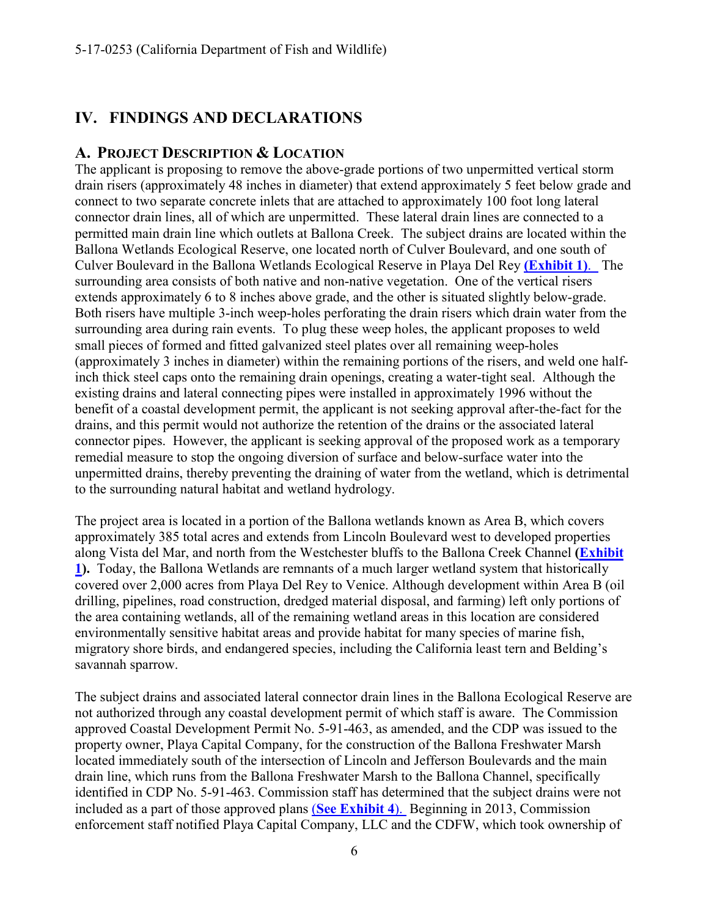### <span id="page-5-0"></span>**IV. FINDINGS AND DECLARATIONS**

#### <span id="page-5-1"></span>**A. PROJECT DESCRIPTION & LOCATION**

The applicant is proposing to remove the above-grade portions of two unpermitted vertical storm drain risers (approximately 48 inches in diameter) that extend approximately 5 feet below grade and connect to two separate concrete inlets that are attached to approximately 100 foot long lateral connector drain lines, all of which are unpermitted. These lateral drain lines are connected to a permitted main drain line which outlets at Ballona Creek. The subject drains are located within the Ballona Wetlands Ecological Reserve, one located north of Culver Boulevard, and one south of Culver Boulevard in the Ballona Wetlands Ecological Reserve in Playa Del Rey **[\(Exhibit 1\)](https://documents.coastal.ca.gov/reports/2017/12/th10c/th10c-12-2017-exhibits.pdf)**. The surrounding area consists of both native and non-native vegetation. One of the vertical risers extends approximately 6 to 8 inches above grade, and the other is situated slightly below-grade. Both risers have multiple 3-inch weep-holes perforating the drain risers which drain water from the surrounding area during rain events. To plug these weep holes, the applicant proposes to weld small pieces of formed and fitted galvanized steel plates over all remaining weep-holes (approximately 3 inches in diameter) within the remaining portions of the risers, and weld one halfinch thick steel caps onto the remaining drain openings, creating a water-tight seal. Although the existing drains and lateral connecting pipes were installed in approximately 1996 without the benefit of a coastal development permit, the applicant is not seeking approval after-the-fact for the drains, and this permit would not authorize the retention of the drains or the associated lateral connector pipes. However, the applicant is seeking approval of the proposed work as a temporary remedial measure to stop the ongoing diversion of surface and below-surface water into the unpermitted drains, thereby preventing the draining of water from the wetland, which is detrimental to the surrounding natural habitat and wetland hydrology.

The project area is located in a portion of the Ballona wetlands known as Area B, which covers approximately 385 total acres and extends from Lincoln Boulevard west to developed properties along Vista del Mar, and north from the Westchester bluffs to the Ballona Creek Channel **[\(Exhibit](https://documents.coastal.ca.gov/reports/2017/12/th10c/th10c-12-2017-exhibits.pdf)  [1\)](https://documents.coastal.ca.gov/reports/2017/12/th10c/th10c-12-2017-exhibits.pdf).** Today, the Ballona Wetlands are remnants of a much larger wetland system that historically covered over 2,000 acres from Playa Del Rey to Venice. Although development within Area B (oil drilling, pipelines, road construction, dredged material disposal, and farming) left only portions of the area containing wetlands, all of the remaining wetland areas in this location are considered environmentally sensitive habitat areas and provide habitat for many species of marine fish, migratory shore birds, and endangered species, including the California least tern and Belding's savannah sparrow.

The subject drains and associated lateral connector drain lines in the Ballona Ecological Reserve are not authorized through any coastal development permit of which staff is aware. The Commission approved Coastal Development Permit No. 5-91-463, as amended, and the CDP was issued to the property owner, Playa Capital Company, for the construction of the Ballona Freshwater Marsh located immediately south of the intersection of Lincoln and Jefferson Boulevards and the main drain line, which runs from the Ballona Freshwater Marsh to the Ballona Channel, specifically identified in CDP No. 5-91-463. Commission staff has determined that the subject drains were not included as a part of those approved plans (**[See Exhibit 4](https://documents.coastal.ca.gov/reports/2017/12/th10c/th10c-12-2017-exhibits.pdf)**). Beginning in 2013, Commission enforcement staff notified Playa Capital Company, LLC and the CDFW, which took ownership of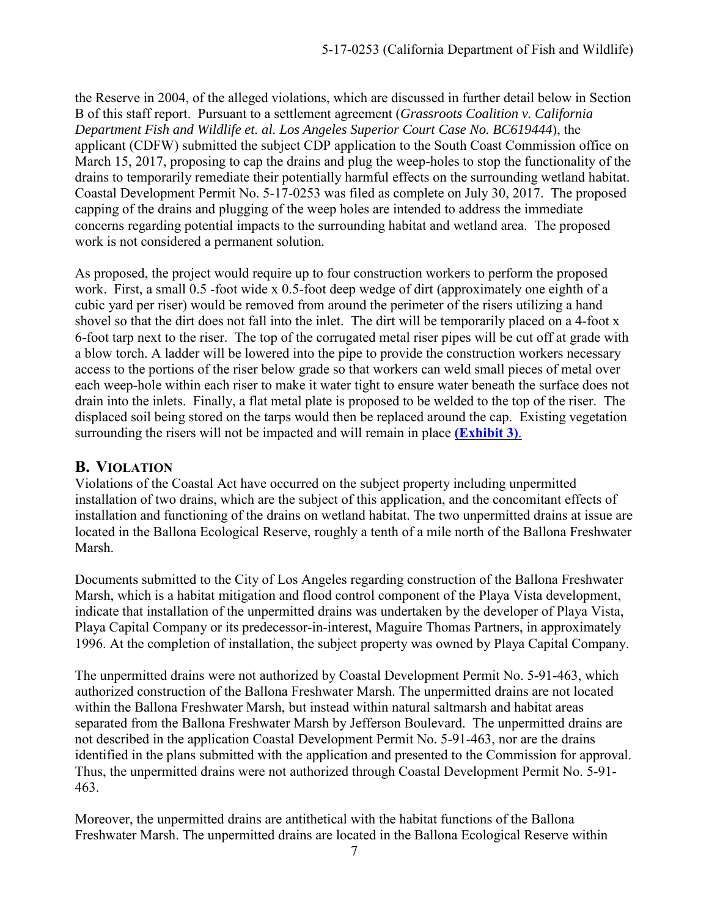the Reserve in 2004, of the alleged violations, which are discussed in further detail below in Section B of this staff report. Pursuant to a settlement agreement (*Grassroots Coalition v. California Department Fish and Wildlife et. al. Los Angeles Superior Court Case No. BC619444*), the applicant (CDFW) submitted the subject CDP application to the South Coast Commission office on March 15, 2017, proposing to cap the drains and plug the weep-holes to stop the functionality of the drains to temporarily remediate their potentially harmful effects on the surrounding wetland habitat. Coastal Development Permit No. 5-17-0253 was filed as complete on July 30, 2017. The proposed capping of the drains and plugging of the weep holes are intended to address the immediate concerns regarding potential impacts to the surrounding habitat and wetland area. The proposed work is not considered a permanent solution.

As proposed, the project would require up to four construction workers to perform the proposed work. First, a small 0.5 -foot wide x 0.5-foot deep wedge of dirt (approximately one eighth of a cubic yard per riser) would be removed from around the perimeter of the risers utilizing a hand shovel so that the dirt does not fall into the inlet. The dirt will be temporarily placed on a 4-foot x 6-foot tarp next to the riser. The top of the corrugated metal riser pipes will be cut off at grade with a blow torch. A ladder will be lowered into the pipe to provide the construction workers necessary access to the portions of the riser below grade so that workers can weld small pieces of metal over each weep-hole within each riser to make it water tight to ensure water beneath the surface does not drain into the inlets. Finally, a flat metal plate is proposed to be welded to the top of the riser. The displaced soil being stored on the tarps would then be replaced around the cap. Existing vegetation surrounding the risers will not be impacted and will remain in place **[\(Exhibit 3\)](https://documents.coastal.ca.gov/reports/2017/12/th10c/th10c-12-2017-exhibits.pdf)**.

#### <span id="page-6-0"></span>**B. VIOLATION**

Violations of the Coastal Act have occurred on the subject property including unpermitted installation of two drains, which are the subject of this application, and the concomitant effects of installation and functioning of the drains on wetland habitat. The two unpermitted drains at issue are located in the Ballona Ecological Reserve, roughly a tenth of a mile north of the Ballona Freshwater Marsh.

Documents submitted to the City of Los Angeles regarding construction of the Ballona Freshwater Marsh, which is a habitat mitigation and flood control component of the Playa Vista development, indicate that installation of the unpermitted drains was undertaken by the developer of Playa Vista, Playa Capital Company or its predecessor-in-interest, Maguire Thomas Partners, in approximately 1996. At the completion of installation, the subject property was owned by Playa Capital Company.

The unpermitted drains were not authorized by Coastal Development Permit No. 5-91-463, which authorized construction of the Ballona Freshwater Marsh. The unpermitted drains are not located within the Ballona Freshwater Marsh, but instead within natural saltmarsh and habitat areas separated from the Ballona Freshwater Marsh by Jefferson Boulevard. The unpermitted drains are not described in the application Coastal Development Permit No. 5-91-463, nor are the drains identified in the plans submitted with the application and presented to the Commission for approval. Thus, the unpermitted drains were not authorized through Coastal Development Permit No. 5-91- 463.

Moreover, the unpermitted drains are antithetical with the habitat functions of the Ballona Freshwater Marsh. The unpermitted drains are located in the Ballona Ecological Reserve within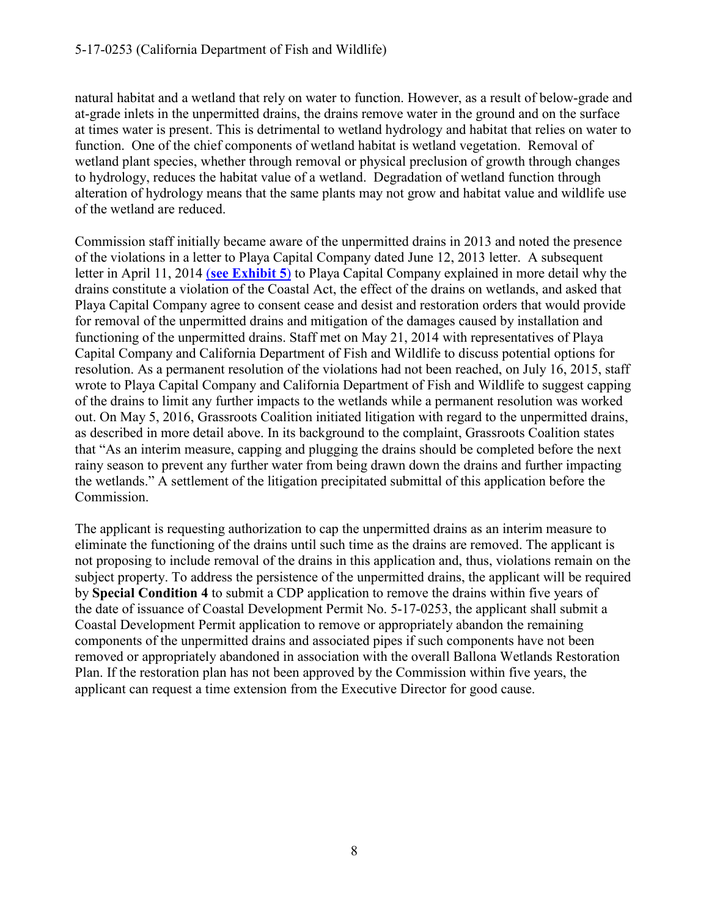natural habitat and a wetland that rely on water to function. However, as a result of below-grade and at-grade inlets in the unpermitted drains, the drains remove water in the ground and on the surface at times water is present. This is detrimental to wetland hydrology and habitat that relies on water to function. One of the chief components of wetland habitat is wetland vegetation. Removal of wetland plant species, whether through removal or physical preclusion of growth through changes to hydrology, reduces the habitat value of a wetland. Degradation of wetland function through alteration of hydrology means that the same plants may not grow and habitat value and wildlife use of the wetland are reduced.

Commission staff initially became aware of the unpermitted drains in 2013 and noted the presence of the violations in a letter to Playa Capital Company dated June 12, 2013 letter. A subsequent letter in April 11, 2014 (**[see Exhibit 5](https://documents.coastal.ca.gov/reports/2017/12/th10c/th10c-12-2017-exhibits.pdf)**) to Playa Capital Company explained in more detail why the drains constitute a violation of the Coastal Act, the effect of the drains on wetlands, and asked that Playa Capital Company agree to consent cease and desist and restoration orders that would provide for removal of the unpermitted drains and mitigation of the damages caused by installation and functioning of the unpermitted drains. Staff met on May 21, 2014 with representatives of Playa Capital Company and California Department of Fish and Wildlife to discuss potential options for resolution. As a permanent resolution of the violations had not been reached, on July 16, 2015, staff wrote to Playa Capital Company and California Department of Fish and Wildlife to suggest capping of the drains to limit any further impacts to the wetlands while a permanent resolution was worked out. On May 5, 2016, Grassroots Coalition initiated litigation with regard to the unpermitted drains, as described in more detail above. In its background to the complaint, Grassroots Coalition states that "As an interim measure, capping and plugging the drains should be completed before the next rainy season to prevent any further water from being drawn down the drains and further impacting the wetlands." A settlement of the litigation precipitated submittal of this application before the Commission.

The applicant is requesting authorization to cap the unpermitted drains as an interim measure to eliminate the functioning of the drains until such time as the drains are removed. The applicant is not proposing to include removal of the drains in this application and, thus, violations remain on the subject property. To address the persistence of the unpermitted drains, the applicant will be required by **Special Condition 4** to submit a CDP application to remove the drains within five years of the date of issuance of Coastal Development Permit No. 5-17-0253, the applicant shall submit a Coastal Development Permit application to remove or appropriately abandon the remaining components of the unpermitted drains and associated pipes if such components have not been removed or appropriately abandoned in association with the overall Ballona Wetlands Restoration Plan. If the restoration plan has not been approved by the Commission within five years, the applicant can request a time extension from the Executive Director for good cause.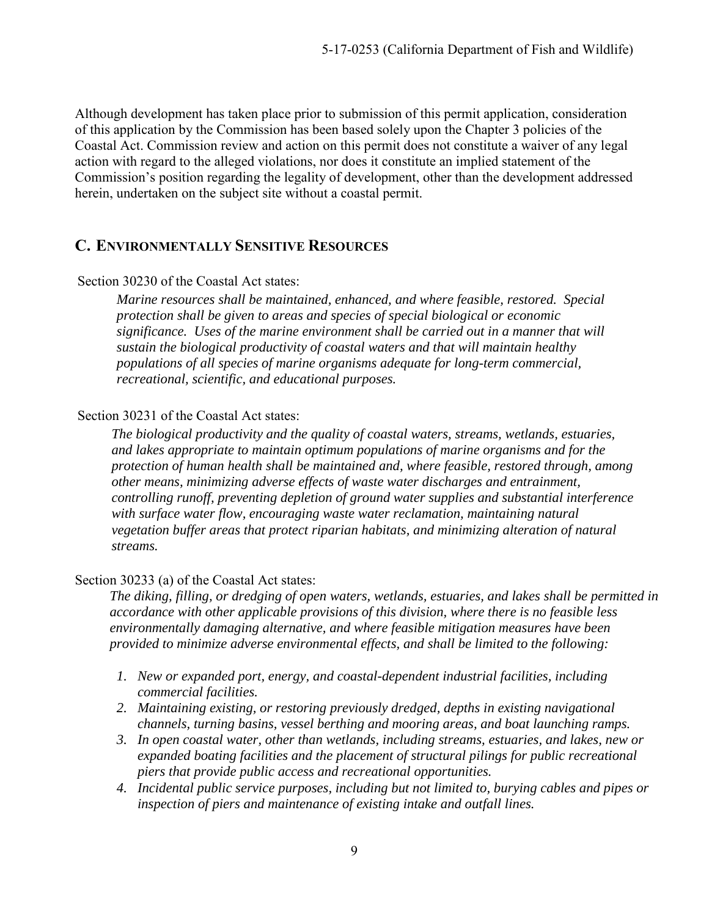Although development has taken place prior to submission of this permit application, consideration of this application by the Commission has been based solely upon the Chapter 3 policies of the Coastal Act. Commission review and action on this permit does not constitute a waiver of any legal action with regard to the alleged violations, nor does it constitute an implied statement of the Commission's position regarding the legality of development, other than the development addressed herein, undertaken on the subject site without a coastal permit.

#### <span id="page-8-0"></span>**C. ENVIRONMENTALLY SENSITIVE RESOURCES**

#### Section 30230 of the Coastal Act states:

*Marine resources shall be maintained, enhanced, and where feasible, restored. Special protection shall be given to areas and species of special biological or economic significance. Uses of the marine environment shall be carried out in a manner that will sustain the biological productivity of coastal waters and that will maintain healthy populations of all species of marine organisms adequate for long-term commercial, recreational, scientific, and educational purposes.* 

#### Section 30231 of the Coastal Act states:

*The biological productivity and the quality of coastal waters, streams, wetlands, estuaries, and lakes appropriate to maintain optimum populations of marine organisms and for the protection of human health shall be maintained and, where feasible, restored through, among other means, minimizing adverse effects of waste water discharges and entrainment, controlling runoff, preventing depletion of ground water supplies and substantial interference with surface water flow, encouraging waste water reclamation, maintaining natural vegetation buffer areas that protect riparian habitats, and minimizing alteration of natural streams.*

#### Section 30233 (a) of the Coastal Act states:

 *The diking, filling, or dredging of open waters, wetlands, estuaries, and lakes shall be permitted in accordance with other applicable provisions of this division, where there is no feasible less environmentally damaging alternative, and where feasible mitigation measures have been provided to minimize adverse environmental effects, and shall be limited to the following:* 

- *1. New or expanded port, energy, and coastal-dependent industrial facilities, including commercial facilities.*
- *2. Maintaining existing, or restoring previously dredged, depths in existing navigational channels, turning basins, vessel berthing and mooring areas, and boat launching ramps.*
- *3. In open coastal water, other than wetlands, including streams, estuaries, and lakes, new or expanded boating facilities and the placement of structural pilings for public recreational piers that provide public access and recreational opportunities.*
- *4. Incidental public service purposes, including but not limited to, burying cables and pipes or inspection of piers and maintenance of existing intake and outfall lines.*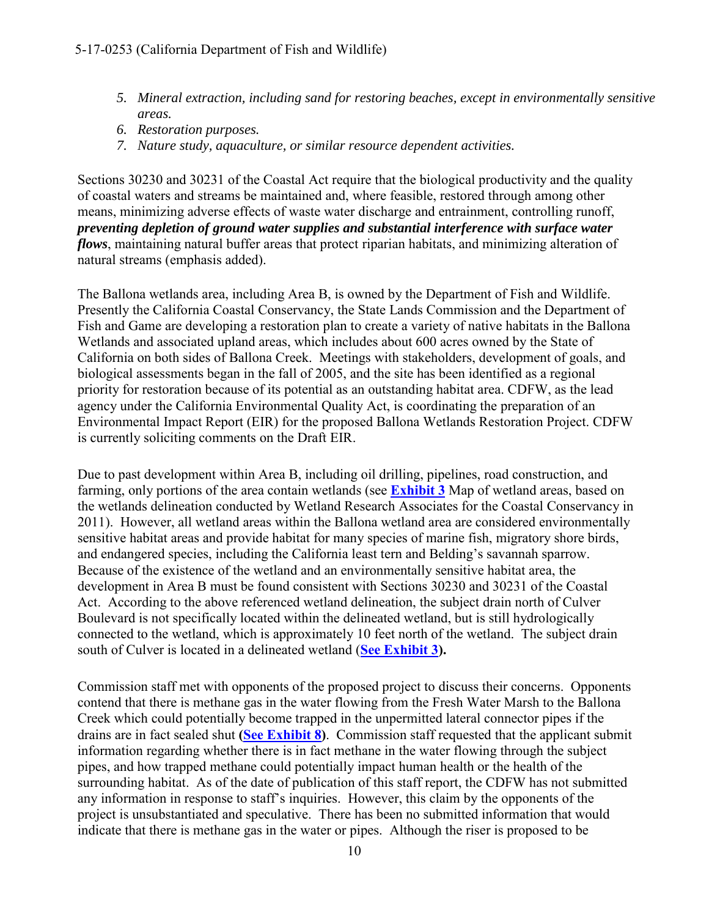- *5. Mineral extraction, including sand for restoring beaches, except in environmentally sensitive areas.*
- *6. Restoration purposes.*
- *7. Nature study, aquaculture, or similar resource dependent activities.*

Sections 30230 and 30231 of the Coastal Act require that the biological productivity and the quality of coastal waters and streams be maintained and, where feasible, restored through among other means, minimizing adverse effects of waste water discharge and entrainment, controlling runoff, *preventing depletion of ground water supplies and substantial interference with surface water flows*, maintaining natural buffer areas that protect riparian habitats, and minimizing alteration of natural streams (emphasis added).

The Ballona wetlands area, including Area B, is owned by the Department of Fish and Wildlife. Presently the California Coastal Conservancy, the State Lands Commission and the Department of Fish and Game are developing a restoration plan to create a variety of native habitats in the Ballona Wetlands and associated upland areas, which includes about 600 acres owned by the State of California on both sides of Ballona Creek. Meetings with stakeholders, development of goals, and biological assessments began in the fall of 2005, and the site has been identified as a regional priority for restoration because of its potential as an outstanding habitat area. CDFW, as the lead agency under the California Environmental Quality Act, is coordinating the preparation of an Environmental Impact Report (EIR) for the proposed Ballona Wetlands Restoration Project. CDFW is currently soliciting comments on the Draft EIR.

Due to past development within Area B, including oil drilling, pipelines, road construction, and farming, only portions of the area contain wetlands (see **[Exhibit 3](https://documents.coastal.ca.gov/reports/2017/12/th10c/th10c-12-2017-exhibits.pdf)** Map of wetland areas, based on the wetlands delineation conducted by Wetland Research Associates for the Coastal Conservancy in 2011). However, all wetland areas within the Ballona wetland area are considered environmentally sensitive habitat areas and provide habitat for many species of marine fish, migratory shore birds, and endangered species, including the California least tern and Belding's savannah sparrow. Because of the existence of the wetland and an environmentally sensitive habitat area, the development in Area B must be found consistent with Sections 30230 and 30231 of the Coastal Act. According to the above referenced wetland delineation, the subject drain north of Culver Boulevard is not specifically located within the delineated wetland, but is still hydrologically connected to the wetland, which is approximately 10 feet north of the wetland. The subject drain south of Culver is located in a delineated wetland (**[See Exhibit 3\)](https://documents.coastal.ca.gov/reports/2017/12/th10c/th10c-12-2017-exhibits.pdf).** 

Commission staff met with opponents of the proposed project to discuss their concerns. Opponents contend that there is methane gas in the water flowing from the Fresh Water Marsh to the Ballona Creek which could potentially become trapped in the unpermitted lateral connector pipes if the drains are in fact sealed shut **[\(See Exhibit 8\)](https://documents.coastal.ca.gov/reports/2017/12/th10c/th10c-12-2017-exhibits.pdf)**. Commission staff requested that the applicant submit information regarding whether there is in fact methane in the water flowing through the subject pipes, and how trapped methane could potentially impact human health or the health of the surrounding habitat. As of the date of publication of this staff report, the CDFW has not submitted any information in response to staff's inquiries. However, this claim by the opponents of the project is unsubstantiated and speculative. There has been no submitted information that would indicate that there is methane gas in the water or pipes. Although the riser is proposed to be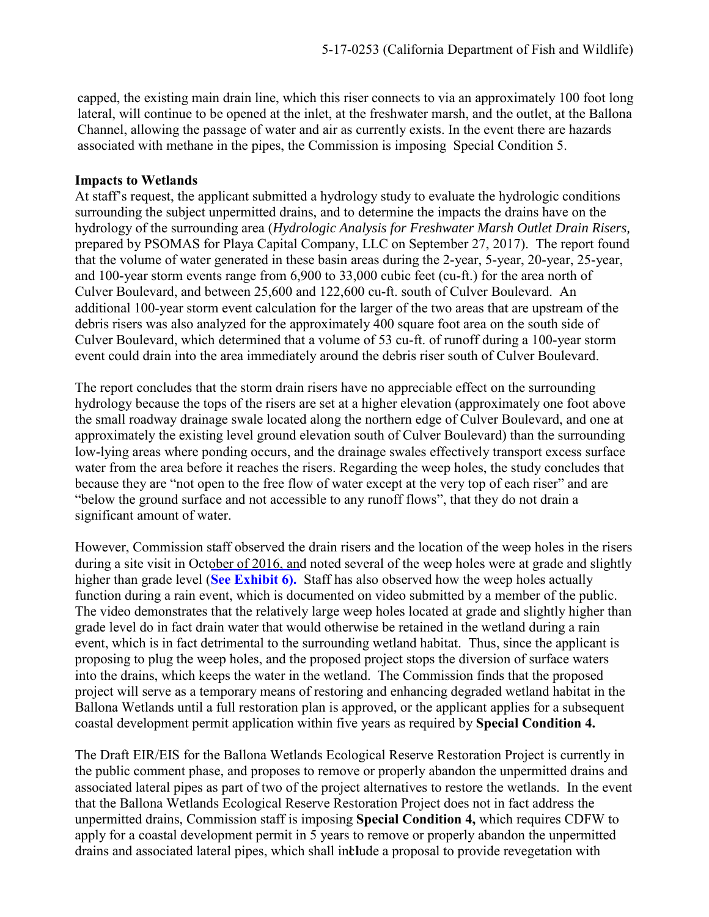capped, the existing main drain line, which this riser connects to via an approximately 100 foot long lateral, will continue to be opened at the inlet, at the freshwater marsh, and the outlet, at the Ballona Channel, allowing the passage of water and air as currently exists. In the event there are hazards associated with methane in the pipes, the Commission is imposing Special Condition 5.

#### **Impacts to Wetlands**

At staff's request, the applicant submitted a hydrology study to evaluate the hydrologic conditions surrounding the subject unpermitted drains, and to determine the impacts the drains have on the hydrology of the surrounding area (*Hydrologic Analysis for Freshwater Marsh Outlet Drain Risers,*  prepared by PSOMAS for Playa Capital Company, LLC on September 27, 2017). The report found that the volume of water generated in these basin areas during the 2-year, 5-year, 20-year, 25-year, and 100-year storm events range from 6,900 to 33,000 cubic feet (cu-ft.) for the area north of Culver Boulevard, and between 25,600 and 122,600 cu-ft. south of Culver Boulevard. An additional 100-year storm event calculation for the larger of the two areas that are upstream of the debris risers was also analyzed for the approximately 400 square foot area on the south side of Culver Boulevard, which determined that a volume of 53 cu-ft. of runoff during a 100-year storm event could drain into the area immediately around the debris riser south of Culver Boulevard.

The report concludes that the storm drain risers have no appreciable effect on the surrounding hydrology because the tops of the risers are set at a higher elevation (approximately one foot above the small roadway drainage swale located along the northern edge of Culver Boulevard, and one at approximately the existing level ground elevation south of Culver Boulevard) than the surrounding low-lying areas where ponding occurs, and the drainage swales effectively transport excess surface water from the area before it reaches the risers. Regarding the weep holes, the study concludes that because they are "not open to the free flow of water except at the very top of each riser" and are "below the ground surface and not accessible to any runoff flows", that they do not drain a significant amount of water.

However, Commission staff observed the drain risers and the location of the weep holes in the risers during a site visit in Oc[tober of 2016, and](https://documents.coastal.ca.gov/reports/2017/12/th10c/th10c-12-2017-exhibits.pdf) noted several of the weep holes were at grade and slightly higher than grade level (**See Exhibit 6).** Staff has also observed how the weep holes actually function during a rain event, which is documented on video submitted by a member of the public. The video demonstrates that the relatively large weep holes located at grade and slightly higher than grade level do in fact drain water that would otherwise be retained in the wetland during a rain event, which is in fact detrimental to the surrounding wetland habitat. Thus, since the applicant is proposing to plug the weep holes, and the proposed project stops the diversion of surface waters into the drains, which keeps the water in the wetland. The Commission finds that the proposed project will serve as a temporary means of restoring and enhancing degraded wetland habitat in the Ballona Wetlands until a full restoration plan is approved, or the applicant applies for a subsequent coastal development permit application within five years as required by **Special Condition 4.**

drains and associated lateral pipes, which shall include a proposal to provide revegetation with The Draft EIR/EIS for the Ballona Wetlands Ecological Reserve Restoration Project is currently in the public comment phase, and proposes to remove or properly abandon the unpermitted drains and associated lateral pipes as part of two of the project alternatives to restore the wetlands. In the event that the Ballona Wetlands Ecological Reserve Restoration Project does not in fact address the unpermitted drains, Commission staff is imposing **Special Condition 4,** which requires CDFW to apply for a coastal development permit in 5 years to remove or properly abandon the unpermitted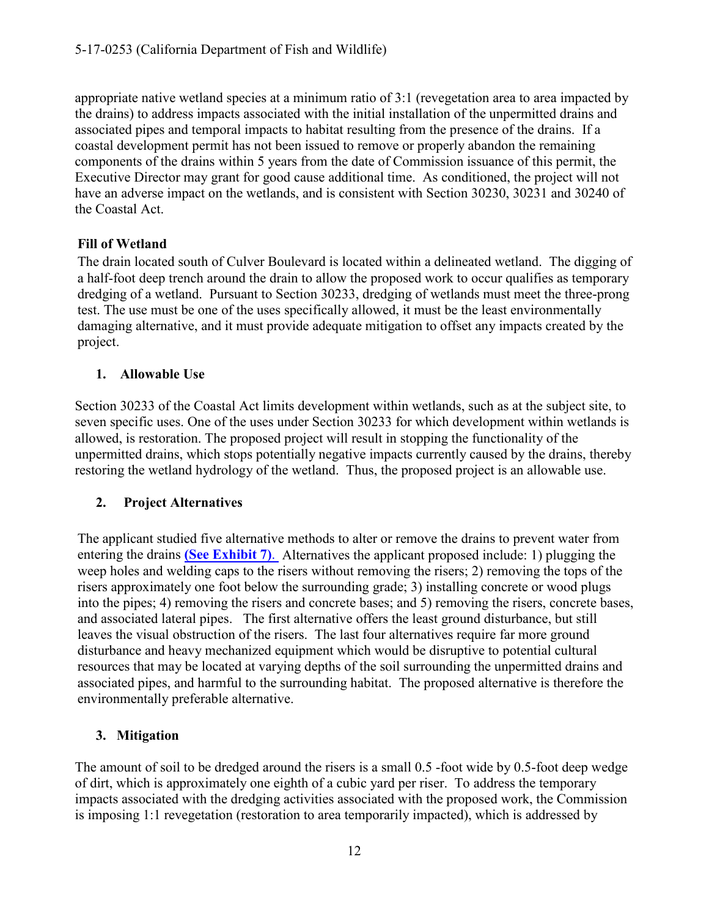appropriate native wetland species at a minimum ratio of 3:1 (revegetation area to area impacted by the drains) to address impacts associated with the initial installation of the unpermitted drains and associated pipes and temporal impacts to habitat resulting from the presence of the drains. If a coastal development permit has not been issued to remove or properly abandon the remaining components of the drains within 5 years from the date of Commission issuance of this permit, the Executive Director may grant for good cause additional time. As conditioned, the project will not have an adverse impact on the wetlands, and is consistent with Section 30230, 30231 and 30240 of the Coastal Act.

#### **Fill of Wetland**

The drain located south of Culver Boulevard is located within a delineated wetland. The digging of a half-foot deep trench around the drain to allow the proposed work to occur qualifies as temporary dredging of a wetland. Pursuant to Section 30233, dredging of wetlands must meet the three-prong test. The use must be one of the uses specifically allowed, it must be the least environmentally damaging alternative, and it must provide adequate mitigation to offset any impacts created by the project.

#### **1. Allowable Use**

Section 30233 of the Coastal Act limits development within wetlands, such as at the subject site, to seven specific uses. One of the uses under Section 30233 for which development within wetlands is allowed, is restoration. The proposed project will result in stopping the functionality of the unpermitted drains, which stops potentially negative impacts currently caused by the drains, thereby restoring the wetland hydrology of the wetland. Thus, the proposed project is an allowable use.

#### **2. Project Alternatives**

The applicant studied five alternative methods to alter or remove the drains to prevent water from entering the drains **[\(See Exhibit 7\)](https://documents.coastal.ca.gov/reports/2017/12/th10c/th10c-12-2017-exhibits.pdf)**. Alternatives the applicant proposed include: 1) plugging the weep holes and welding caps to the risers without removing the risers; 2) removing the tops of the risers approximately one foot below the surrounding grade; 3) installing concrete or wood plugs into the pipes; 4) removing the risers and concrete bases; and 5) removing the risers, concrete bases, and associated lateral pipes. The first alternative offers the least ground disturbance, but still leaves the visual obstruction of the risers. The last four alternatives require far more ground disturbance and heavy mechanized equipment which would be disruptive to potential cultural resources that may be located at varying depths of the soil surrounding the unpermitted drains and associated pipes, and harmful to the surrounding habitat. The proposed alternative is therefore the environmentally preferable alternative.

#### **3. Mitigation**

The amount of soil to be dredged around the risers is a small 0.5 -foot wide by 0.5-foot deep wedge of dirt, which is approximately one eighth of a cubic yard per riser. To address the temporary impacts associated with the dredging activities associated with the proposed work, the Commission is imposing 1:1 revegetation (restoration to area temporarily impacted), which is addressed by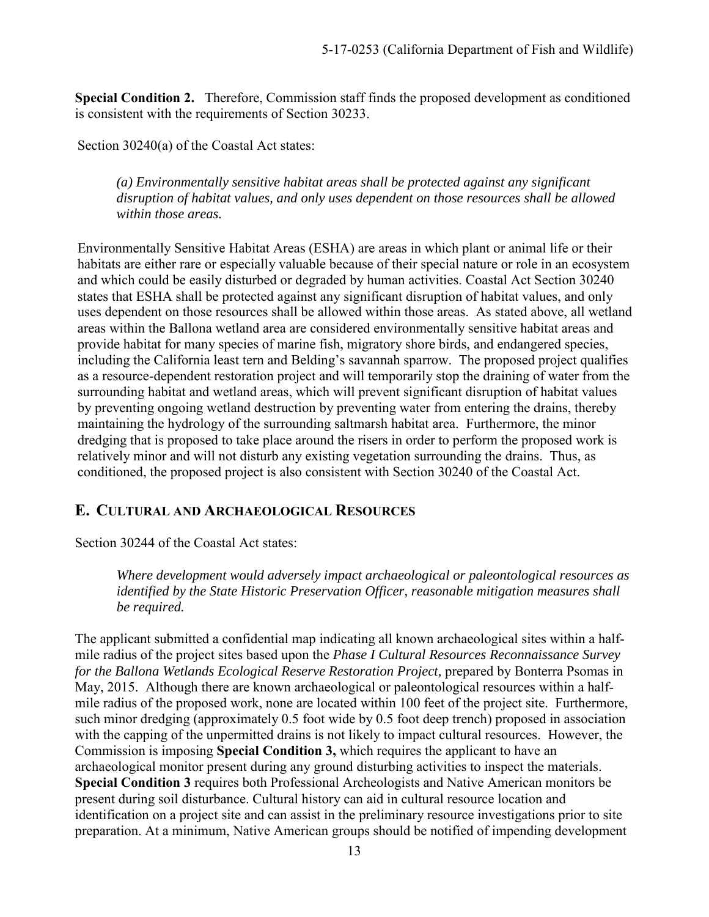**Special Condition 2.** Therefore, Commission staff finds the proposed development as conditioned is consistent with the requirements of Section 30233.

Section 30240(a) of the Coastal Act states:

*(a) Environmentally sensitive habitat areas shall be protected against any significant disruption of habitat values, and only uses dependent on those resources shall be allowed within those areas.* 

Environmentally Sensitive Habitat Areas (ESHA) are areas in which plant or animal life or their habitats are either rare or especially valuable because of their special nature or role in an ecosystem and which could be easily disturbed or degraded by human activities. Coastal Act Section 30240 states that ESHA shall be protected against any significant disruption of habitat values, and only uses dependent on those resources shall be allowed within those areas. As stated above, all wetland areas within the Ballona wetland area are considered environmentally sensitive habitat areas and provide habitat for many species of marine fish, migratory shore birds, and endangered species, including the California least tern and Belding's savannah sparrow. The proposed project qualifies as a resource-dependent restoration project and will temporarily stop the draining of water from the surrounding habitat and wetland areas, which will prevent significant disruption of habitat values by preventing ongoing wetland destruction by preventing water from entering the drains, thereby maintaining the hydrology of the surrounding saltmarsh habitat area. Furthermore, the minor dredging that is proposed to take place around the risers in order to perform the proposed work is relatively minor and will not disturb any existing vegetation surrounding the drains. Thus, as conditioned, the proposed project is also consistent with Section 30240 of the Coastal Act.

## <span id="page-12-0"></span>**E. CULTURAL AND ARCHAEOLOGICAL RESOURCES**

#### Section 30244 of the Coastal Act states:

*Where development would adversely impact archaeological or paleontological resources as identified by the State Historic Preservation Officer, reasonable mitigation measures shall be required.* 

The applicant submitted a confidential map indicating all known archaeological sites within a halfmile radius of the project sites based upon the *Phase I Cultural Resources Reconnaissance Survey for the Ballona Wetlands Ecological Reserve Restoration Project,* prepared by Bonterra Psomas in May, 2015. Although there are known archaeological or paleontological resources within a halfmile radius of the proposed work, none are located within 100 feet of the project site. Furthermore, such minor dredging (approximately 0.5 foot wide by 0.5 foot deep trench) proposed in association with the capping of the unpermitted drains is not likely to impact cultural resources. However, the Commission is imposing **Special Condition 3,** which requires the applicant to have an archaeological monitor present during any ground disturbing activities to inspect the materials. **Special Condition 3** requires both Professional Archeologists and Native American monitors be present during soil disturbance. Cultural history can aid in cultural resource location and identification on a project site and can assist in the preliminary resource investigations prior to site preparation. At a minimum, Native American groups should be notified of impending development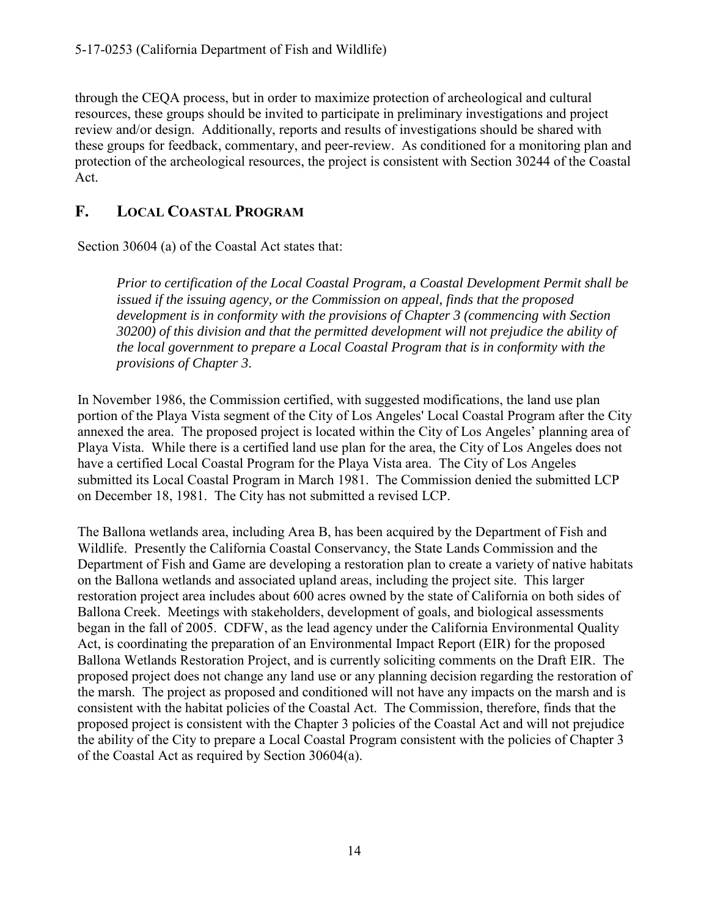through the CEQA process, but in order to maximize protection of archeological and cultural resources, these groups should be invited to participate in preliminary investigations and project review and/or design. Additionally, reports and results of investigations should be shared with these groups for feedback, commentary, and peer-review. As conditioned for a monitoring plan and protection of the archeological resources, the project is consistent with Section 30244 of the Coastal Act.

## <span id="page-13-0"></span>**F. LOCAL COASTAL PROGRAM**

Section 30604 (a) of the Coastal Act states that:

*Prior to certification of the Local Coastal Program, a Coastal Development Permit shall be issued if the issuing agency, or the Commission on appeal, finds that the proposed development is in conformity with the provisions of Chapter 3 (commencing with Section 30200) of this division and that the permitted development will not prejudice the ability of the local government to prepare a Local Coastal Program that is in conformity with the provisions of Chapter 3*.

In November 1986, the Commission certified, with suggested modifications, the land use plan portion of the Playa Vista segment of the City of Los Angeles' Local Coastal Program after the City annexed the area. The proposed project is located within the City of Los Angeles' planning area of Playa Vista. While there is a certified land use plan for the area, the City of Los Angeles does not have a certified Local Coastal Program for the Playa Vista area. The City of Los Angeles submitted its Local Coastal Program in March 1981. The Commission denied the submitted LCP on December 18, 1981. The City has not submitted a revised LCP.

The Ballona wetlands area, including Area B, has been acquired by the Department of Fish and Wildlife. Presently the California Coastal Conservancy, the State Lands Commission and the Department of Fish and Game are developing a restoration plan to create a variety of native habitats on the Ballona wetlands and associated upland areas, including the project site. This larger restoration project area includes about 600 acres owned by the state of California on both sides of Ballona Creek. Meetings with stakeholders, development of goals, and biological assessments began in the fall of 2005. CDFW, as the lead agency under the California Environmental Quality Act, is coordinating the preparation of an Environmental Impact Report (EIR) for the proposed Ballona Wetlands Restoration Project, and is currently soliciting comments on the Draft EIR. The proposed project does not change any land use or any planning decision regarding the restoration of the marsh. The project as proposed and conditioned will not have any impacts on the marsh and is consistent with the habitat policies of the Coastal Act. The Commission, therefore, finds that the proposed project is consistent with the Chapter 3 policies of the Coastal Act and will not prejudice the ability of the City to prepare a Local Coastal Program consistent with the policies of Chapter 3 of the Coastal Act as required by Section 30604(a).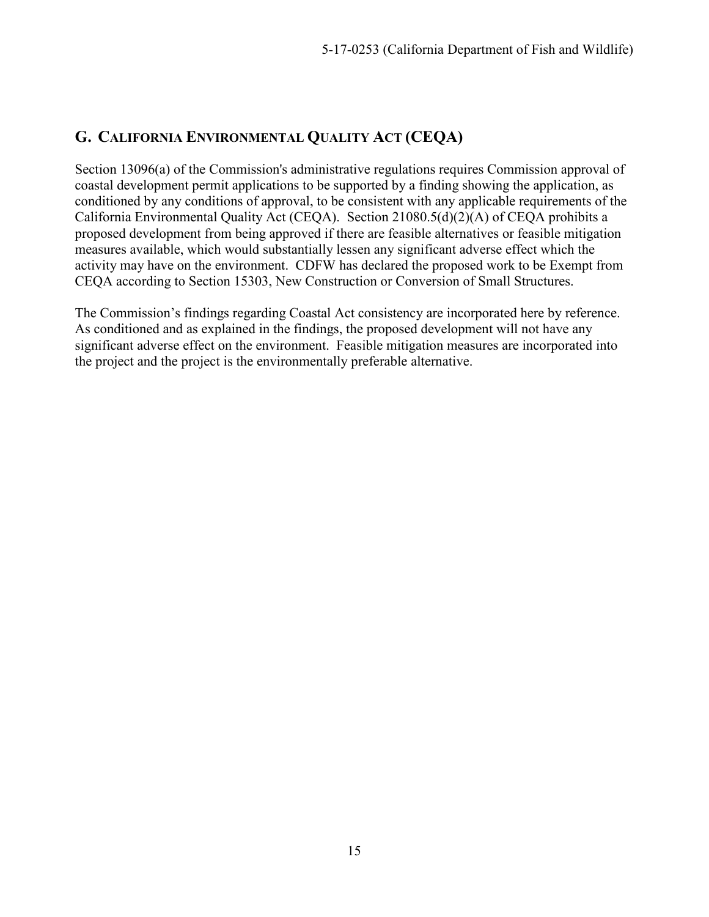## <span id="page-14-0"></span>**G. CALIFORNIA ENVIRONMENTAL QUALITY ACT (CEQA)**

Section 13096(a) of the Commission's administrative regulations requires Commission approval of coastal development permit applications to be supported by a finding showing the application, as conditioned by any conditions of approval, to be consistent with any applicable requirements of the California Environmental Quality Act (CEQA). Section 21080.5(d)(2)(A) of CEQA prohibits a proposed development from being approved if there are feasible alternatives or feasible mitigation measures available, which would substantially lessen any significant adverse effect which the activity may have on the environment. CDFW has declared the proposed work to be Exempt from CEQA according to Section 15303, New Construction or Conversion of Small Structures.

The Commission's findings regarding Coastal Act consistency are incorporated here by reference. As conditioned and as explained in the findings, the proposed development will not have any significant adverse effect on the environment. Feasible mitigation measures are incorporated into the project and the project is the environmentally preferable alternative.